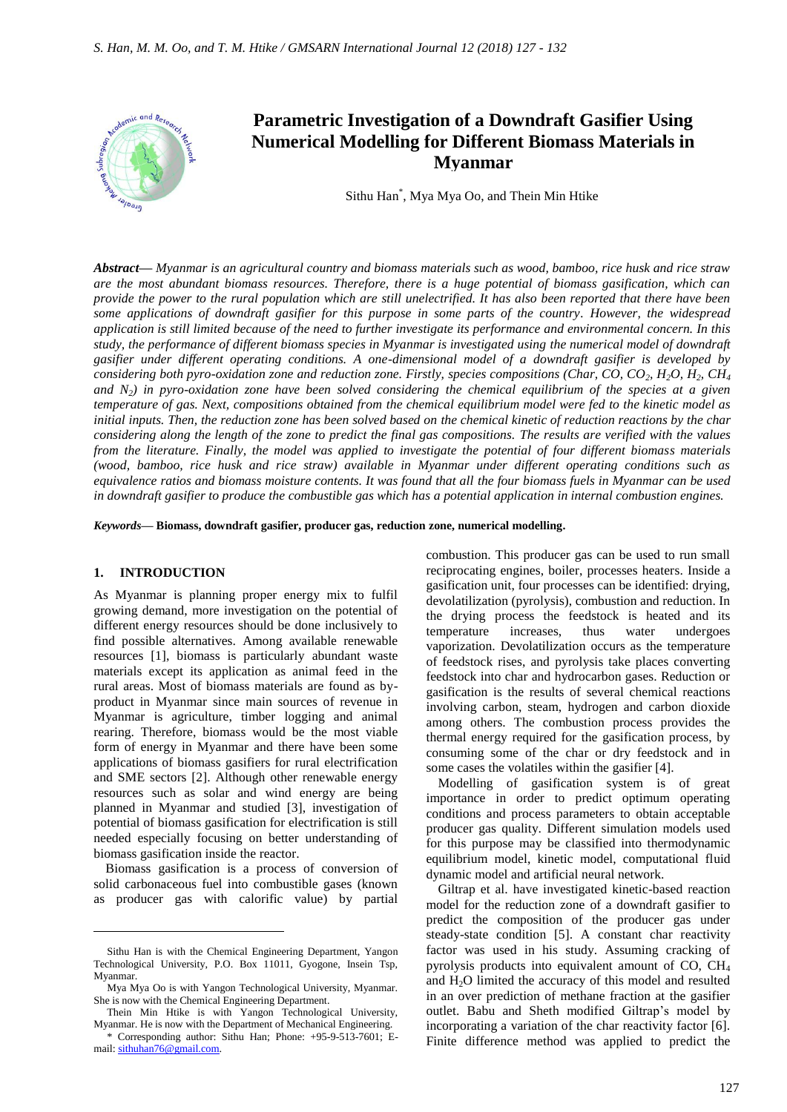

# **Parametric Investigation of a Downdraft Gasifier Using Numerical Modelling for Different Biomass Materials in Myanmar**

Sithu Han\* , Mya Mya Oo, and Thein Min Htike

*Abstract***—** *Myanmar is an agricultural country and biomass materials such as wood, bamboo, rice husk and rice straw are the most abundant biomass resources. Therefore, there is a huge potential of biomass gasification, which can provide the power to the rural population which are still unelectrified. It has also been reported that there have been some applications of downdraft gasifier for this purpose in some parts of the country. However, the widespread application is still limited because of the need to further investigate its performance and environmental concern. In this study, the performance of different biomass species in Myanmar is investigated using the numerical model of downdraft gasifier under different operating conditions. A one-dimensional model of a downdraft gasifier is developed by considering both pyro-oxidation zone and reduction zone. Firstly, species compositions (Char, CO, CO2, H2O, H2, CH<sup>4</sup> and N2) in pyro-oxidation zone have been solved considering the chemical equilibrium of the species at a given temperature of gas. Next, compositions obtained from the chemical equilibrium model were fed to the kinetic model as initial inputs. Then, the reduction zone has been solved based on the chemical kinetic of reduction reactions by the char considering along the length of the zone to predict the final gas compositions. The results are verified with the values from the literature. Finally, the model was applied to investigate the potential of four different biomass materials (wood, bamboo, rice husk and rice straw) available in Myanmar under different operating conditions such as equivalence ratios and biomass moisture contents. It was found that all the four biomass fuels in Myanmar can be used in downdraft gasifier to produce the combustible gas which has a potential application in internal combustion engines.*

*Keywords***— Biomass, downdraft gasifier, producer gas, reduction zone, numerical modelling.**

#### **1. INTRODUCTION**

 $\overline{a}$ 

As Myanmar is planning proper energy mix to fulfil growing demand, more investigation on the potential of different energy resources should be done inclusively to find possible alternatives. Among available renewable resources [1], biomass is particularly abundant waste materials except its application as animal feed in the rural areas. Most of biomass materials are found as byproduct in Myanmar since main sources of revenue in Myanmar is agriculture, timber logging and animal rearing. Therefore, biomass would be the most viable form of energy in Myanmar and there have been some applications of biomass gasifiers for rural electrification and SME sectors [2]. Although other renewable energy resources such as solar and wind energy are being planned in Myanmar and studied [3], investigation of potential of biomass gasification for electrification is still needed especially focusing on better understanding of biomass gasification inside the reactor.

Biomass gasification is a process of conversion of solid carbonaceous fuel into combustible gases (known as producer gas with calorific value) by partial

combustion. This producer gas can be used to run small reciprocating engines, boiler, processes heaters. Inside a gasification unit, four processes can be identified: drying, devolatilization (pyrolysis), combustion and reduction. In the drying process the feedstock is heated and its temperature increases, thus water undergoes vaporization. Devolatilization occurs as the temperature of feedstock rises, and pyrolysis take places converting feedstock into char and hydrocarbon gases. Reduction or gasification is the results of several chemical reactions involving carbon, steam, hydrogen and carbon dioxide among others. The combustion process provides the thermal energy required for the gasification process, by consuming some of the char or dry feedstock and in some cases the volatiles within the gasifier [4].

Modelling of gasification system is of great importance in order to predict optimum operating conditions and process parameters to obtain acceptable producer gas quality. Different simulation models used for this purpose may be classified into thermodynamic equilibrium model, kinetic model, computational fluid dynamic model and artificial neural network.

Giltrap et al. have investigated kinetic-based reaction model for the reduction zone of a downdraft gasifier to predict the composition of the producer gas under steady-state condition [5]. A constant char reactivity factor was used in his study. Assuming cracking of pyrolysis products into equivalent amount of  $CO$ ,  $CH<sub>4</sub>$ and H2O limited the accuracy of this model and resulted in an over prediction of methane fraction at the gasifier outlet. Babu and Sheth modified Giltrap's model by incorporating a variation of the char reactivity factor [6]. Finite difference method was applied to predict the

Sithu Han is with the Chemical Engineering Department, Yangon Technological University, P.O. Box 11011, Gyogone, Insein Tsp, Myanmar.

Mya Mya Oo is with Yangon Technological University, Myanmar. She is now with the Chemical Engineering Department.

Thein Min Htike is with Yangon Technological University, Myanmar. He is now with the Department of Mechanical Engineering.

<sup>\*</sup> Corresponding author: Sithu Han; Phone: +95-9-513-7601; Email[: sithuhan76@gmail.com.](mailto:sithuhan76@gmail.com)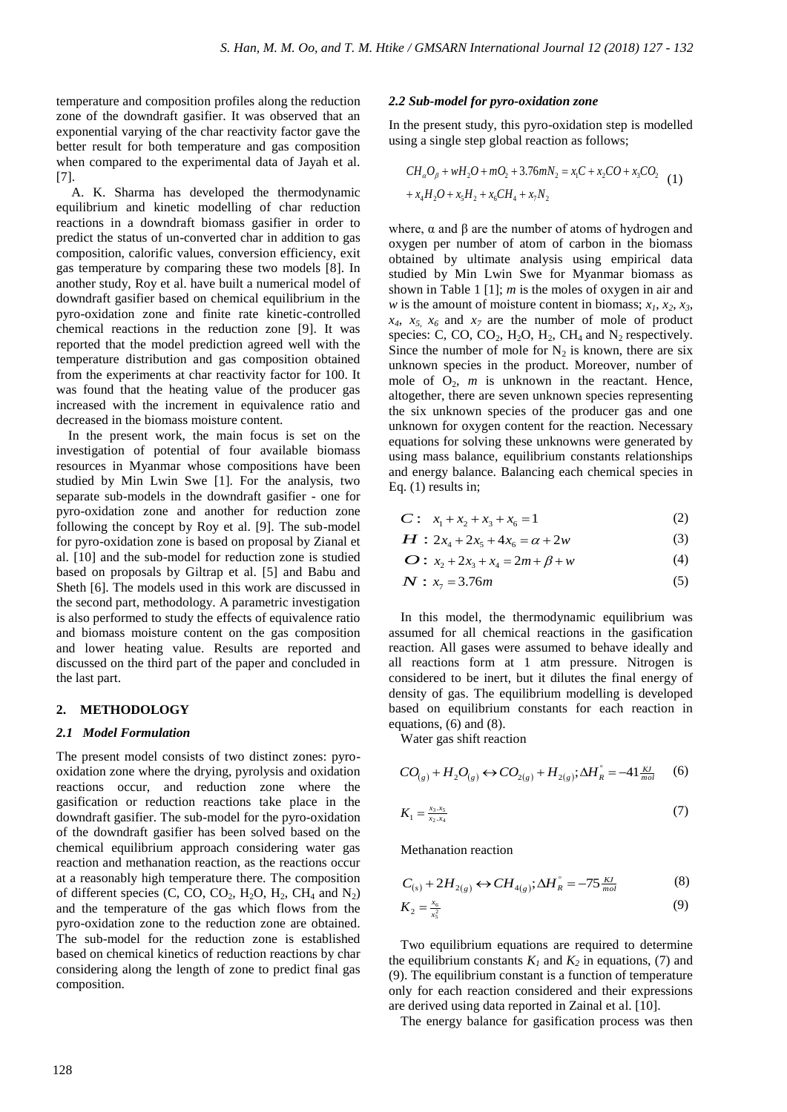temperature and composition profiles along the reduction zone of the downdraft gasifier. It was observed that an exponential varying of the char reactivity factor gave the better result for both temperature and gas composition when compared to the experimental data of Jayah et al. [7].

A. K. Sharma has developed the thermodynamic equilibrium and kinetic modelling of char reduction reactions in a downdraft biomass gasifier in order to predict the status of un-converted char in addition to gas composition, calorific values, conversion efficiency, exit gas temperature by comparing these two models [8]. In another study, Roy et al. have built a numerical model of downdraft gasifier based on chemical equilibrium in the pyro-oxidation zone and finite rate kinetic-controlled chemical reactions in the reduction zone [9]. It was reported that the model prediction agreed well with the temperature distribution and gas composition obtained from the experiments at char reactivity factor for 100. It was found that the heating value of the producer gas increased with the increment in equivalence ratio and decreased in the biomass moisture content.

In the present work, the main focus is set on the investigation of potential of four available biomass resources in Myanmar whose compositions have been studied by Min Lwin Swe [1]. For the analysis, two separate sub-models in the downdraft gasifier - one for pyro-oxidation zone and another for reduction zone following the concept by Roy et al. [9]. The sub-model for pyro-oxidation zone is based on proposal by Zianal et al. [10] and the sub-model for reduction zone is studied based on proposals by Giltrap et al. [5] and Babu and Sheth [6]. The models used in this work are discussed in the second part, methodology. A parametric investigation is also performed to study the effects of equivalence ratio and biomass moisture content on the gas composition and lower heating value. Results are reported and discussed on the third part of the paper and concluded in the last part.

#### **2. METHODOLOGY**

#### *2.1 Model Formulation*

The present model consists of two distinct zones: pyrooxidation zone where the drying, pyrolysis and oxidation reactions occur, and reduction zone where the gasification or reduction reactions take place in the downdraft gasifier. The sub-model for the pyro-oxidation of the downdraft gasifier has been solved based on the chemical equilibrium approach considering water gas reaction and methanation reaction, as the reactions occur at a reasonably high temperature there. The composition of different species (C, CO, CO<sub>2</sub>, H<sub>2</sub>O, H<sub>2</sub>, CH<sub>4</sub> and N<sub>2</sub>) and the temperature of the gas which flows from the pyro-oxidation zone to the reduction zone are obtained. The sub-model for the reduction zone is established based on chemical kinetics of reduction reactions by char considering along the length of zone to predict final gas composition.

#### *2.2 Sub-model for pyro-oxidation zone*

In the present study, this pyro-oxidation step is modelled using a single step global reaction as follows;

$$
CH_aO_\beta + wH_2O + mO_2 + 3.76mN_2 = x_1C + x_2CO + x_3CO_2
$$
  
+  $x_4H_2O + x_5H_2 + x_6CH_4 + x_7N_2$  (1)

where,  $\alpha$  and  $\beta$  are the number of atoms of hydrogen and oxygen per number of atom of carbon in the biomass obtained by ultimate analysis using empirical data studied by Min Lwin Swe for Myanmar biomass as shown in Table 1 [1]; *m* is the moles of oxygen in air and *w* is the amount of moisture content in biomass;  $x_1, x_2, x_3$ ,  $x_4$ ,  $x_5$ ,  $x_6$  and  $x_7$  are the number of mole of product species: C, CO, CO<sub>2</sub>, H<sub>2</sub>O, H<sub>2</sub>, CH<sub>4</sub> and N<sub>2</sub> respectively. Since the number of mole for  $N_2$  is known, there are six unknown species in the product. Moreover, number of mole of  $O_2$ , *m* is unknown in the reactant. Hence, altogether, there are seven unknown species representing the six unknown species of the producer gas and one unknown for oxygen content for the reaction. Necessary equations for solving these unknowns were generated by using mass balance, equilibrium constants relationships and energy balance. Balancing each chemical species in Eq. (1) results in;

$$
C: x_1 + x_2 + x_3 + x_6 = 1 \tag{2}
$$

$$
H: 2x_4 + 2x_5 + 4x_6 = \alpha + 2w \tag{3}
$$

$$
O: x_2 + 2x_3 + x_4 = 2m + \beta + w \tag{4}
$$

$$
N: x_7 = 3.76m \tag{5}
$$

In this model, the thermodynamic equilibrium was assumed for all chemical reactions in the gasification reaction. All gases were assumed to behave ideally and all reactions form at 1 atm pressure. Nitrogen is considered to be inert, but it dilutes the final energy of density of gas. The equilibrium modelling is developed based on equilibrium constants for each reaction in equations, (6) and (8).

Water gas shift reaction

$$
CO_{(g)} + H_2O_{(g)} \leftrightarrow CO_{2(g)} + H_{2(g)}; \Delta H_R^{\circ} = -41 \frac{\kappa J}{mol} \tag{6}
$$

$$
K_1 = \frac{x_3 \cdot x_5}{x_2 \cdot x_4} \tag{7}
$$

Methanation reaction

$$
C_{(s)} + 2H_{2(g)} \leftrightarrow CH_{4(g)}; \Delta H_R^{\circ} = -75 \frac{\text{KJ}}{\text{mol}} \tag{8}
$$

$$
K_2 = \frac{x_6}{x_5^2} \tag{9}
$$

Two equilibrium equations are required to determine the equilibrium constants  $K_l$  and  $K_2$  in equations, (7) and (9). The equilibrium constant is a function of temperature only for each reaction considered and their expressions are derived using data reported in Zainal et al. [10].

The energy balance for gasification process was then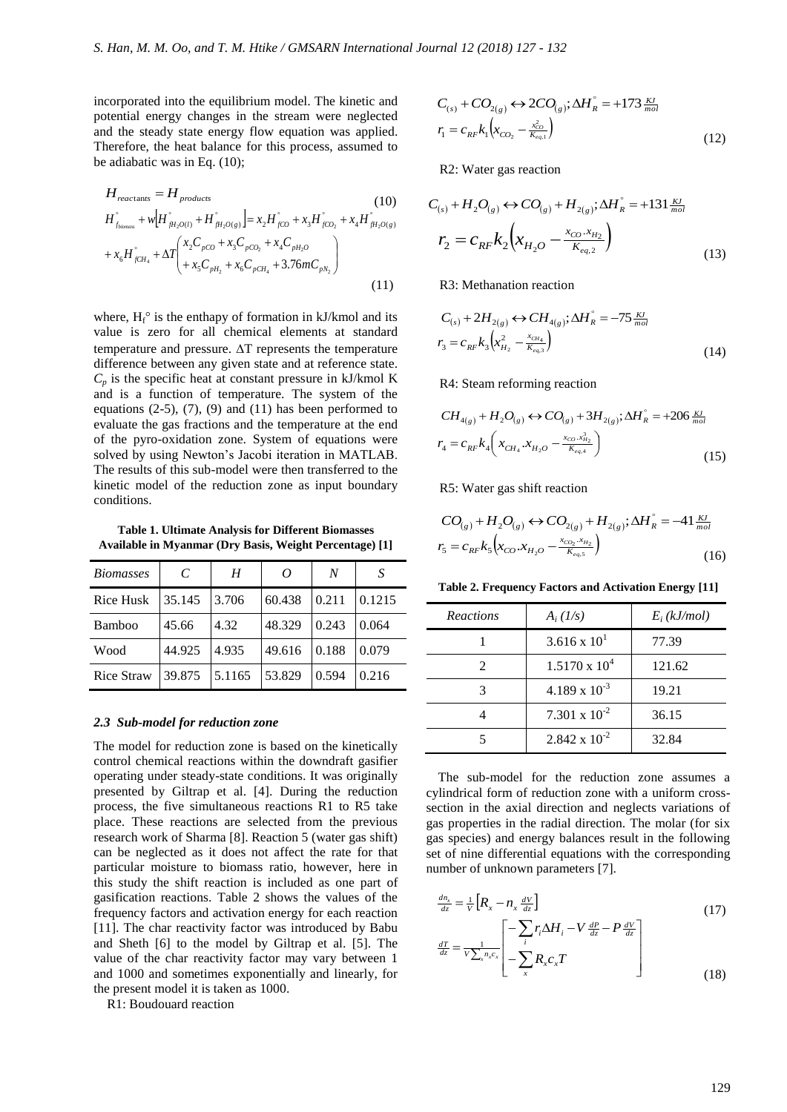incorporated into the equilibrium model. The kinetic and potential energy changes in the stream were neglected and the steady state energy flow equation was applied. Therefore, the heat balance for this process, assumed to be adiabatic was in Eq. (10);

$$
H_{reactions} = H_{products}
$$
\n(10)  
\n
$$
H_{f_{bbmass}}^{\circ} + w \Big[ H_{fH_2O(l)}^{\circ} + H_{fH_2O(g)}^{\circ} \Big] = x_2 H_{fCO}^{\circ} + x_3 H_{fCO_2}^{\circ} + x_4 H_{fH_2O(g)}^{\circ}
$$
\n
$$
+ x_6 H_{fCH_4}^{\circ} + \Delta T \Bigg( \frac{x_2 C_{pCO} + x_3 C_{pCO_2} + x_4 C_{pH_2O}}{+ x_5 C_{pH_2} + x_6 C_{pCH_4} + 3.76 m C_{pN_2}} \Bigg)
$$
\n(11)

where,  $H_f^{\circ}$  is the enthapy of formation in kJ/kmol and its value is zero for all chemical elements at standard temperature and pressure.  $\Delta T$  represents the temperature difference between any given state and at reference state.  $C_p$  is the specific heat at constant pressure in kJ/kmol K and is a function of temperature. The system of the equations  $(2-5)$ ,  $(7)$ ,  $(9)$  and  $(11)$  has been performed to evaluate the gas fractions and the temperature at the end of the pyro-oxidation zone. System of equations were solved by using Newton's Jacobi iteration in MATLAB. The results of this sub-model were then transferred to the kinetic model of the reduction zone as input boundary conditions.

**Table 1. Ultimate Analysis for Different Biomasses Available in Myanmar (Dry Basis, Weight Percentage) [1]**

| <b>Biomasses</b>  | C      | H      | $\Omega$ | N     | S      |
|-------------------|--------|--------|----------|-------|--------|
| Rice Husk         | 35.145 | 3.706  | 60.438   | 0.211 | 0.1215 |
| Bamboo            | 45.66  | 4.32   | 48.329   | 0.243 | 0.064  |
| Wood              | 44.925 | 4.935  | 49.616   | 0.188 | 0.079  |
| <b>Rice Straw</b> | 39.875 | 5.1165 | 53.829   | 0.594 | 0.216  |

#### *2.3 Sub-model for reduction zone*

The model for reduction zone is based on the kinetically control chemical reactions within the downdraft gasifier operating under steady-state conditions. It was originally presented by Giltrap et al. [4]. During the reduction process, the five simultaneous reactions R1 to R5 take place. These reactions are selected from the previous research work of Sharma [8]. Reaction 5 (water gas shift) can be neglected as it does not affect the rate for that particular moisture to biomass ratio, however, here in this study the shift reaction is included as one part of gasification reactions. Table 2 shows the values of the frequency factors and activation energy for each reaction [11]. The char reactivity factor was introduced by Babu and Sheth [6] to the model by Giltrap et al. [5]. The value of the char reactivity factor may vary between 1 and 1000 and sometimes exponentially and linearly, for the present model it is taken as 1000.

R1: Boudouard reaction

$$
C_{(s)} + CO_{2(g)} \leftrightarrow 2CO_{(g)}; \Delta H_R^{\circ} = +173 \frac{\kappa J}{mol}
$$
  

$$
r_1 = c_{RF} k_1 \left(x_{CO_2} - \frac{x_{CO}^2}{k_{eq,1}}\right)
$$
 (12)

R2: Water gas reaction

$$
C_{(s)} + H_2 O_{(s)} \leftrightarrow CO_{(s)} + H_{2(s)}; \Delta H_R^{\circ} = +131 \frac{KJ}{mol}
$$
  

$$
r_2 = C_{RF} k_2 \left( x_{H_2O} - \frac{x_{CO} \cdot x_{H_2}}{K_{eq,2}} \right)
$$
 (13)

R3: Methanation reaction

$$
C_{(s)} + 2H_{2(g)} \leftrightarrow CH_{4(g)}; \Delta H_R^{\circ} = -75 \frac{\kappa I}{mol}
$$
  

$$
r_3 = c_{RF} k_3 \left( x_{H_2}^2 - \frac{x_{CH_4}}{\kappa_{eq,3}} \right)
$$
 (14)

R4: Steam reforming reaction

$$
CH_{4(g)} + H_2O_{(g)} \leftrightarrow CO_{(g)} + 3H_{2(g)}; \Delta H_R^{\circ} = +206 \frac{\kappa J}{mol}
$$
  

$$
r_4 = c_{RF} k_4 \bigg( x_{CH_4} . x_{H_2O} - \frac{x_{CO} . x_{H_2}^3}{K_{eq.4}} \bigg)
$$
(15)

R5: Water gas shift reaction

$$
CO_{(g)} + H_2O_{(g)} \leftrightarrow CO_{2(g)} + H_{2(g)}; \Delta H_R^{\circ} = -41 \frac{KJ}{mol}
$$
  

$$
r_5 = c_{RF}k_5 \Big( x_{CO} \cdot x_{H_2O} - \frac{x_{CO_2} \cdot x_{H_2}}{K_{eq,5}} \Big)
$$
 (16)

**Table 2. Frequency Factors and Activation Energy [11]**

| <b>Reactions</b> | $A_i (1/s)$            | $E_i(kJ/mol)$ |
|------------------|------------------------|---------------|
|                  | $3.616 \times 10^{1}$  | 77.39         |
| $\mathcal{L}$    | $1.5170 \times 10^{4}$ | 121.62        |
|                  | $4.189 \times 10^{-3}$ | 19.21         |
|                  | 7.301 x $10^{-2}$      | 36.15         |
|                  | $2.842 \times 10^{-2}$ | 32.84         |

The sub-model for the reduction zone assumes a cylindrical form of reduction zone with a uniform crosssection in the axial direction and neglects variations of gas properties in the radial direction. The molar (for six gas species) and energy balances result in the following set of nine differential equations with the corresponding number of unknown parameters [7].

$$
\frac{dn_x}{dz} = \frac{1}{V} \left[ R_x - n_x \frac{dV}{dz} \right]
$$
\n
$$
\left[ -\sum_{i} r_i \Delta H_i - V \frac{dP}{dz} - P \frac{dV}{dz} \right]
$$
\n(17)

$$
\frac{dT}{dz} = \frac{1}{V \sum_{x} n_{x} c_{x}} \left[ -\sum_{i} r_{i} \Delta H_{i} - V \frac{dP}{dz} - P \frac{dV}{dz} \right]
$$
\n
$$
- \sum_{x} R_{x} c_{x} T
$$
\n(18)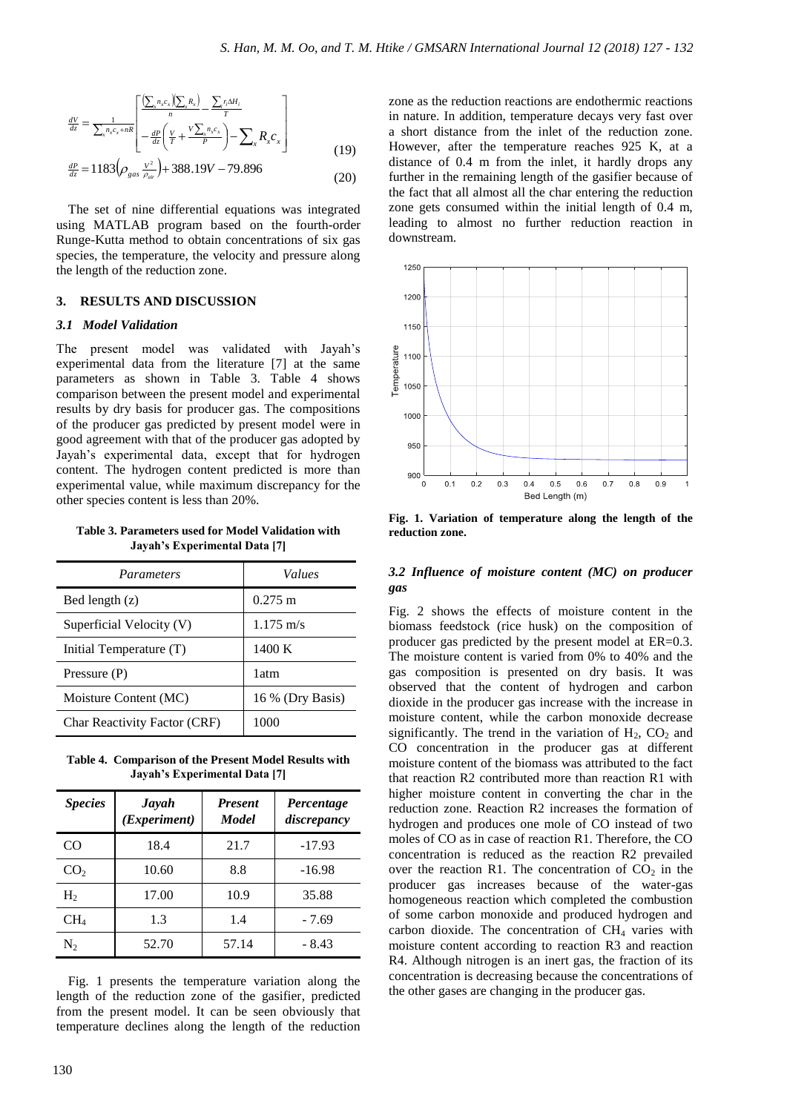$$
\frac{dV}{dz} = \frac{1}{\sum_{x} n_{x} c_{x} + nR} \left[ \frac{\left(\sum_{x} n_{x} c_{x}\right)\left(\sum_{x} R_{x}\right)}{n} - \frac{\sum_{x} n_{x} \Delta H_{i}}{T} \right] - \frac{dP}{dz} \left(\frac{V}{T} + \frac{V\sum_{x} n_{x} c_{x}}{P}\right) - \sum_{x} R_{x} c_{x} \right]
$$
(19)

$$
\frac{dP}{dz} = 1183 \left( \rho_{gas} \frac{V^2}{\rho_{air}} \right) + 388.19V - 79.896 \tag{20}
$$

The set of nine differential equations was integrated using MATLAB program based on the fourth-order Runge-Kutta method to obtain concentrations of six gas species, the temperature, the velocity and pressure along the length of the reduction zone.

#### **3. RESULTS AND DISCUSSION**

#### *3.1 Model Validation*

The present model was validated with Jayah's experimental data from the literature [7] at the same parameters as shown in Table 3. Table 4 shows comparison between the present model and experimental results by dry basis for producer gas. The compositions of the producer gas predicted by present model were in good agreement with that of the producer gas adopted by Jayah's experimental data, except that for hydrogen content. The hydrogen content predicted is more than experimental value, while maximum discrepancy for the other species content is less than 20%.

**Table 3. Parameters used for Model Validation with Jayah's Experimental Data [7]**

| Parameters                          | Values              |  |
|-------------------------------------|---------------------|--|
| Bed length $(z)$                    | $0.275 \text{ m}$   |  |
| Superficial Velocity (V)            | $1.175 \text{ m/s}$ |  |
| Initial Temperature (T)             | 1400 K              |  |
| Pressure (P)                        | 1 atm               |  |
| Moisture Content (MC)               | 16 % (Dry Basis)    |  |
| <b>Char Reactivity Factor (CRF)</b> | 1000                |  |

**Table 4. Comparison of the Present Model Results with Jayah's Experimental Data [7]**

| <b>Species</b>  | <b>Jayah</b><br>(Experiment) | <b>Present</b><br><b>Model</b> | Percentage<br>discrepancy |  |
|-----------------|------------------------------|--------------------------------|---------------------------|--|
| CO              | 18.4                         | 21.7                           | $-17.93$                  |  |
| CO <sub>2</sub> | 10.60                        | 8.8                            | $-16.98$                  |  |
| H <sub>2</sub>  | 17.00                        | 10.9                           | 35.88                     |  |
| $CH_4$          | 1.3                          | 1.4                            | $-7.69$                   |  |
| $N_{2}$         | 52.70                        | 57.14                          | $-8.43$                   |  |

Fig. 1 presents the temperature variation along the length of the reduction zone of the gasifier, predicted from the present model. It can be seen obviously that temperature declines along the length of the reduction

zone as the reduction reactions are endothermic reactions in nature. In addition, temperature decays very fast over a short distance from the inlet of the reduction zone. However, after the temperature reaches 925 K, at a distance of 0.4 m from the inlet, it hardly drops any further in the remaining length of the gasifier because of the fact that all almost all the char entering the reduction zone gets consumed within the initial length of 0.4 m, leading to almost no further reduction reaction in downstream.



**Fig. 1. Variation of temperature along the length of the reduction zone.**

### *3.2 Influence of moisture content (MC) on producer gas*

Fig. 2 shows the effects of moisture content in the biomass feedstock (rice husk) on the composition of producer gas predicted by the present model at ER=0.3. The moisture content is varied from 0% to 40% and the gas composition is presented on dry basis. It was observed that the content of hydrogen and carbon dioxide in the producer gas increase with the increase in moisture content, while the carbon monoxide decrease significantly. The trend in the variation of  $H_2$ ,  $CO_2$  and CO concentration in the producer gas at different moisture content of the biomass was attributed to the fact that reaction R2 contributed more than reaction R1 with higher moisture content in converting the char in the reduction zone. Reaction R2 increases the formation of hydrogen and produces one mole of CO instead of two moles of CO as in case of reaction R1. Therefore, the CO concentration is reduced as the reaction R2 prevailed over the reaction R1. The concentration of  $CO<sub>2</sub>$  in the producer gas increases because of the water-gas homogeneous reaction which completed the combustion of some carbon monoxide and produced hydrogen and carbon dioxide. The concentration of  $CH<sub>4</sub>$  varies with moisture content according to reaction R3 and reaction R4. Although nitrogen is an inert gas, the fraction of its concentration is decreasing because the concentrations of the other gases are changing in the producer gas.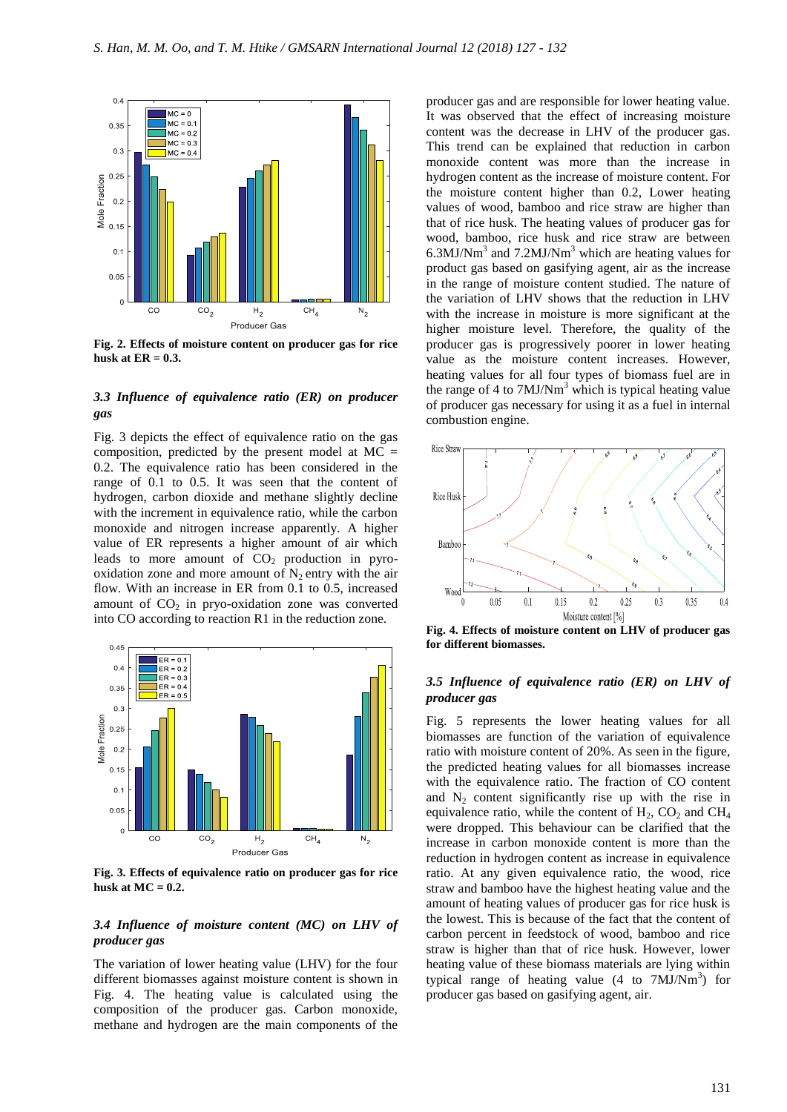

**Fig. 2. Effects of moisture content on producer gas for rice husk at ER = 0.3.**

# *3.3 Influence of equivalence ratio (ER) on producer gas*

Fig. 3 depicts the effect of equivalence ratio on the gas composition, predicted by the present model at  $MC =$ 0.2. The equivalence ratio has been considered in the range of 0.1 to 0.5. It was seen that the content of hydrogen, carbon dioxide and methane slightly decline with the increment in equivalence ratio, while the carbon monoxide and nitrogen increase apparently. A higher value of ER represents a higher amount of air which leads to more amount of  $CO<sub>2</sub>$  production in pyrooxidation zone and more amount of  $N_2$  entry with the air flow. With an increase in ER from 0.1 to 0.5, increased amount of  $CO<sub>2</sub>$  in prvo-oxidation zone was converted into CO according to reaction R1 in the reduction zone.



**Fig. 3. Effects of equivalence ratio on producer gas for rice**  husk at  $MC = 0.2$ .

#### *3.4 Influence of moisture content (MC) on LHV of producer gas*

The variation of lower heating value (LHV) for the four different biomasses against moisture content is shown in Fig. 4. The heating value is calculated using the composition of the producer gas. Carbon monoxide, methane and hydrogen are the main components of the

producer gas and are responsible for lower heating value. It was observed that the effect of increasing moisture content was the decrease in LHV of the producer gas. This trend can be explained that reduction in carbon monoxide content was more than the increase in hydrogen content as the increase of moisture content. For the moisture content higher than 0.2, Lower heating values of wood, bamboo and rice straw are higher than that of rice husk. The heating values of producer gas for wood, bamboo, rice husk and rice straw are between  $6.3$ MJ/Nm<sup>3</sup> and  $7.2$ MJ/Nm<sup>3</sup> which are heating values for product gas based on gasifying agent, air as the increase in the range of moisture content studied. The nature of the variation of LHV shows that the reduction in LHV with the increase in moisture is more significant at the higher moisture level. Therefore, the quality of the producer gas is progressively poorer in lower heating value as the moisture content increases. However, heating values for all four types of biomass fuel are in the range of 4 to  $7M J/Nm<sup>3</sup>$  which is typical heating value of producer gas necessary for using it as a fuel in internal combustion engine.



**Fig. 4. Effects of moisture content on LHV of producer gas for different biomasses.**

# *3.5 Influence of equivalence ratio (ER) on LHV of producer gas*

Fig. 5 represents the lower heating values for all biomasses are function of the variation of equivalence ratio with moisture content of 20%. As seen in the figure, the predicted heating values for all biomasses increase with the equivalence ratio. The fraction of CO content and  $N_2$  content significantly rise up with the rise in equivalence ratio, while the content of  $H_2$ ,  $CO_2$  and  $CH_4$ were dropped. This behaviour can be clarified that the increase in carbon monoxide content is more than the reduction in hydrogen content as increase in equivalence ratio. At any given equivalence ratio, the wood, rice straw and bamboo have the highest heating value and the amount of heating values of producer gas for rice husk is the lowest. This is because of the fact that the content of carbon percent in feedstock of wood, bamboo and rice straw is higher than that of rice husk. However, lower heating value of these biomass materials are lying within typical range of heating value  $(4 \text{ to } 7 \text{MJ/Nm}^3)$  for producer gas based on gasifying agent, air.